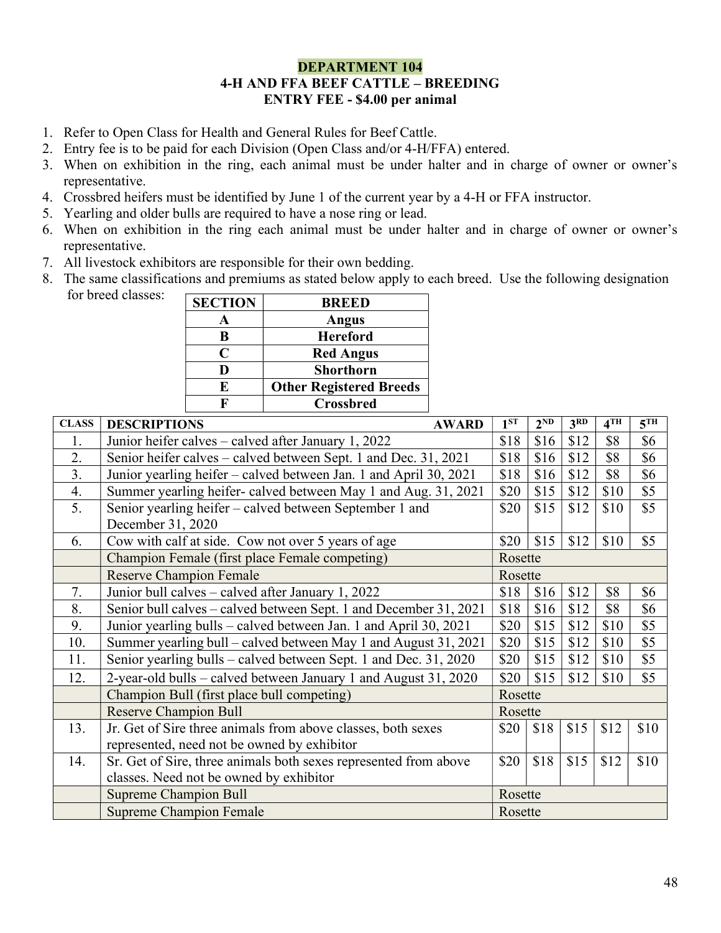### DEPARTMENT 104 4-H AND FFA BEEF CATTLE – BREEDING ENTRY FEE - \$4.00 per animal

- 1. Refer to Open Class for Health and General Rules for Beef Cattle.
- 2. Entry fee is to be paid for each Division (Open Class and/or 4-H/FFA) entered.
- 3. When on exhibition in the ring, each animal must be under halter and in charge of owner or owner's representative.
- 4. Crossbred heifers must be identified by June 1 of the current year by a 4-H or FFA instructor.
- 5. Yearling and older bulls are required to have a nose ring or lead.
- 6. When on exhibition in the ring each animal must be under halter and in charge of owner or owner's representative.
- 7. All livestock exhibitors are responsible for their own bedding.
- 8. The same classifications and premiums as stated below apply to each breed. Use the following designation for breed classes:

| <b>SECTION</b> | <b>BREED</b>                   |
|----------------|--------------------------------|
|                | Angus                          |
| B              | <b>Hereford</b>                |
| C              | <b>Red Angus</b>               |
| D              | <b>Shorthorn</b>               |
| E              | <b>Other Registered Breeds</b> |
|                | Crossbred                      |

| <b>CLASS</b> | <b>DESCRIPTIONS</b><br><b>AWARD</b>                               | 1 <sup>ST</sup> | $2^{ND}$ | 3 <sup>RD</sup> | $4$ TH | 5 <sup>TH</sup> |
|--------------|-------------------------------------------------------------------|-----------------|----------|-----------------|--------|-----------------|
| 1.           | Junior heifer calves – calved after January 1, 2022               | \$18            | \$16     | \$12            | \$8    | \$6             |
| 2.           | Senior heifer calves – calved between Sept. 1 and Dec. 31, 2021   | \$18            | \$16     | \$12            | \$8    | \$6             |
| 3.           | Junior yearling heifer – calved between Jan. 1 and April 30, 2021 | \$18            | \$16     | \$12            | \$8    | \$6             |
| 4.           | Summer yearling heifer- calved between May 1 and Aug. 31, 2021    | \$20            | \$15     | \$12            | \$10   | \$5             |
| 5.           | Senior yearling heifer – calved between September 1 and           | \$20            | \$15     | \$12            | \$10   | \$5             |
|              | December 31, 2020                                                 |                 |          |                 |        |                 |
| 6.           | Cow with calf at side. Cow not over 5 years of age                | \$20            | \$15     | \$12            | \$10   | \$5             |
|              | Champion Female (first place Female competing)                    | Rosette         |          |                 |        |                 |
|              | <b>Reserve Champion Female</b>                                    | Rosette         |          |                 |        |                 |
| 7.           | Junior bull calves - calved after January 1, 2022                 | \$18            | \$16     | \$12            | \$8    | \$6             |
| 8.           | Senior bull calves – calved between Sept. 1 and December 31, 2021 | \$18            | \$16     | \$12            | \$8    | \$6             |
| 9.           | Junior yearling bulls – calved between Jan. 1 and April 30, 2021  | \$20            | \$15     | \$12            | \$10   | \$5             |
| 10.          | Summer yearling bull – calved between May 1 and August 31, 2021   | \$20            | \$15     | \$12            | \$10   | \$5             |
| 11.          | Senior yearling bulls – calved between Sept. 1 and Dec. 31, 2020  | \$20            | \$15     | \$12            | \$10   | \$5             |
| 12.          | 2-year-old bulls – calved between January 1 and August 31, 2020   | \$20            | \$15     | \$12            | \$10   | \$5             |
|              | Champion Bull (first place bull competing)                        | Rosette         |          |                 |        |                 |
|              | <b>Reserve Champion Bull</b>                                      | Rosette         |          |                 |        |                 |
| 13.          | Jr. Get of Sire three animals from above classes, both sexes      | \$20            | \$18     | \$15            | \$12   | \$10            |
|              | represented, need not be owned by exhibitor                       |                 |          |                 |        |                 |
| 14.          | Sr. Get of Sire, three animals both sexes represented from above  | \$20            | \$18     | \$15            | \$12   | \$10            |
|              | classes. Need not be owned by exhibitor                           |                 |          |                 |        |                 |
|              | <b>Supreme Champion Bull</b>                                      | Rosette         |          |                 |        |                 |
|              | <b>Supreme Champion Female</b>                                    | Rosette         |          |                 |        |                 |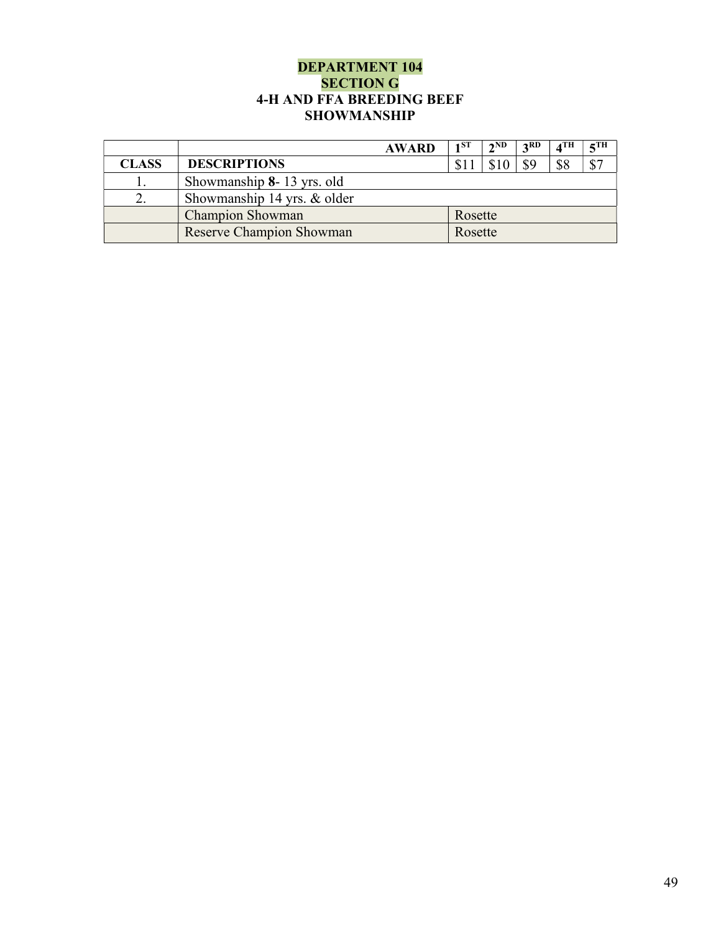## DEPARTMENT 104 SECTION G 4-H AND FFA BREEDING BEEF SHOWMANSHIP

|              |                             | <b>AWARD</b> | 1ST     | 2ND | 3RD | $\boldsymbol{A}$ TH | $5$ TH |
|--------------|-----------------------------|--------------|---------|-----|-----|---------------------|--------|
| <b>CLASS</b> | <b>DESCRIPTIONS</b>         |              | \$1     |     | \$9 |                     |        |
|              | Showmanship 8-13 yrs. old   |              |         |     |     |                     |        |
|              | Showmanship 14 yrs. & older |              |         |     |     |                     |        |
|              | <b>Champion Showman</b>     |              | Rosette |     |     |                     |        |
|              | Reserve Champion Showman    |              | Rosette |     |     |                     |        |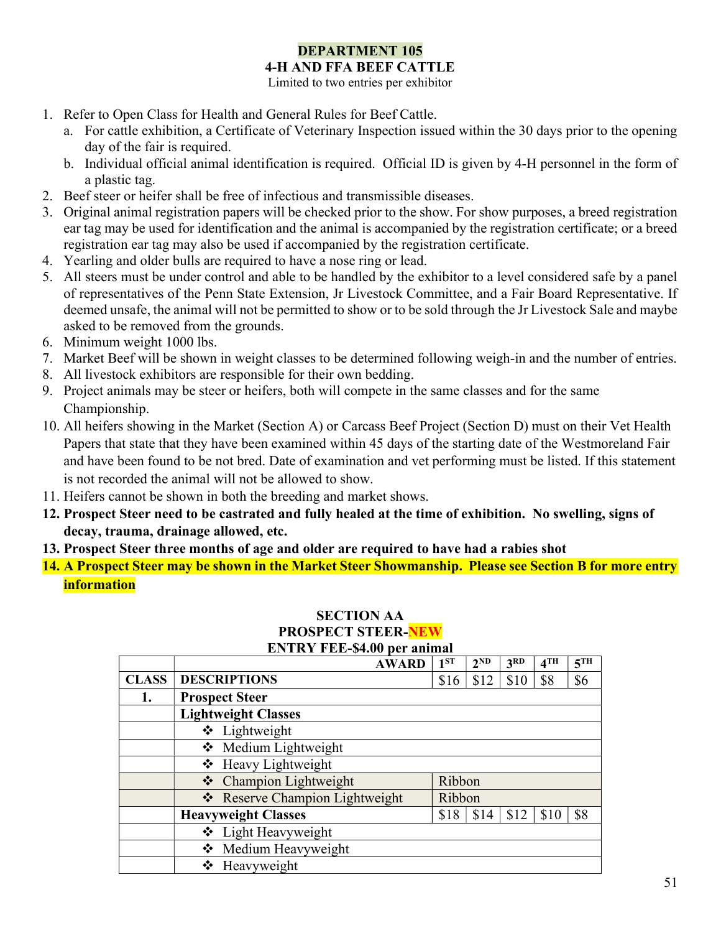# DEPARTMENT 105 4-H AND FFA BEEF CATTLE

Limited to two entries per exhibitor

- 1. Refer to Open Class for Health and General Rules for Beef Cattle.
	- a. For cattle exhibition, a Certificate of Veterinary Inspection issued within the 30 days prior to the opening day of the fair is required.
	- b. Individual official animal identification is required. Official ID is given by 4-H personnel in the form of a plastic tag.
- 2. Beef steer or heifer shall be free of infectious and transmissible diseases.
- 3. Original animal registration papers will be checked prior to the show. For show purposes, a breed registration ear tag may be used for identification and the animal is accompanied by the registration certificate; or a breed registration ear tag may also be used if accompanied by the registration certificate.
- 4. Yearling and older bulls are required to have a nose ring or lead.
- 5. All steers must be under control and able to be handled by the exhibitor to a level considered safe by a panel of representatives of the Penn State Extension, Jr Livestock Committee, and a Fair Board Representative. If deemed unsafe, the animal will not be permitted to show or to be sold through the Jr Livestock Sale and maybe asked to be removed from the grounds.
- 6. Minimum weight 1000 lbs.
- 7. Market Beef will be shown in weight classes to be determined following weigh-in and the number of entries.
- 8. All livestock exhibitors are responsible for their own bedding.
- 9. Project animals may be steer or heifers, both will compete in the same classes and for the same Championship.
- 10. All heifers showing in the Market (Section A) or Carcass Beef Project (Section D) must on their Vet Health Papers that state that they have been examined within 45 days of the starting date of the Westmoreland Fair and have been found to be not bred. Date of examination and vet performing must be listed. If this statement is not recorded the animal will not be allowed to show.
- 11. Heifers cannot be shown in both the breeding and market shows.
- 12. Prospect Steer need to be castrated and fully healed at the time of exhibition. No swelling, signs of decay, trauma, drainage allowed, etc.
- 13. Prospect Steer three months of age and older are required to have had a rabies shot
- 14. A Prospect Steer may be shown in the Market Steer Showmanship. Please see Section B for more entry information

#### SECTION AA PROSPECT STEER-NEW ENTRY FEE-\$4.00 per animal

|              | ЕРГІКІ ГЕЕ-94.00 реганицац     |                 |          |                 |                            |                 |  |  |  |  |  |
|--------------|--------------------------------|-----------------|----------|-----------------|----------------------------|-----------------|--|--|--|--|--|
|              | <b>AWARD</b>                   | 1 <sup>ST</sup> | $2^{ND}$ | 3 <sup>RD</sup> | $4^{\overline{\text{TH}}}$ | 5 <sup>TH</sup> |  |  |  |  |  |
| <b>CLASS</b> | <b>DESCRIPTIONS</b>            | \$16            | \$12     | \$10            | \$8                        | \$6             |  |  |  |  |  |
| 1.           | <b>Prospect Steer</b>          |                 |          |                 |                            |                 |  |  |  |  |  |
|              | <b>Lightweight Classes</b>     |                 |          |                 |                            |                 |  |  |  |  |  |
|              | ❖ Lightweight                  |                 |          |                 |                            |                 |  |  |  |  |  |
|              | ❖ Medium Lightweight           |                 |          |                 |                            |                 |  |  |  |  |  |
|              | ❖ Heavy Lightweight            |                 |          |                 |                            |                 |  |  |  |  |  |
|              | ❖ Champion Lightweight         | Ribbon          |          |                 |                            |                 |  |  |  |  |  |
|              | ❖ Reserve Champion Lightweight | Ribbon          |          |                 |                            |                 |  |  |  |  |  |
|              | <b>Heavyweight Classes</b>     | \$18            | \$14     | \$12            | \$10                       | \$8             |  |  |  |  |  |
|              | ❖ Light Heavyweight            |                 |          |                 |                            |                 |  |  |  |  |  |
|              | ❖ Medium Heavyweight           |                 |          |                 |                            |                 |  |  |  |  |  |
|              | $\div$ Heavyweight             |                 |          |                 |                            |                 |  |  |  |  |  |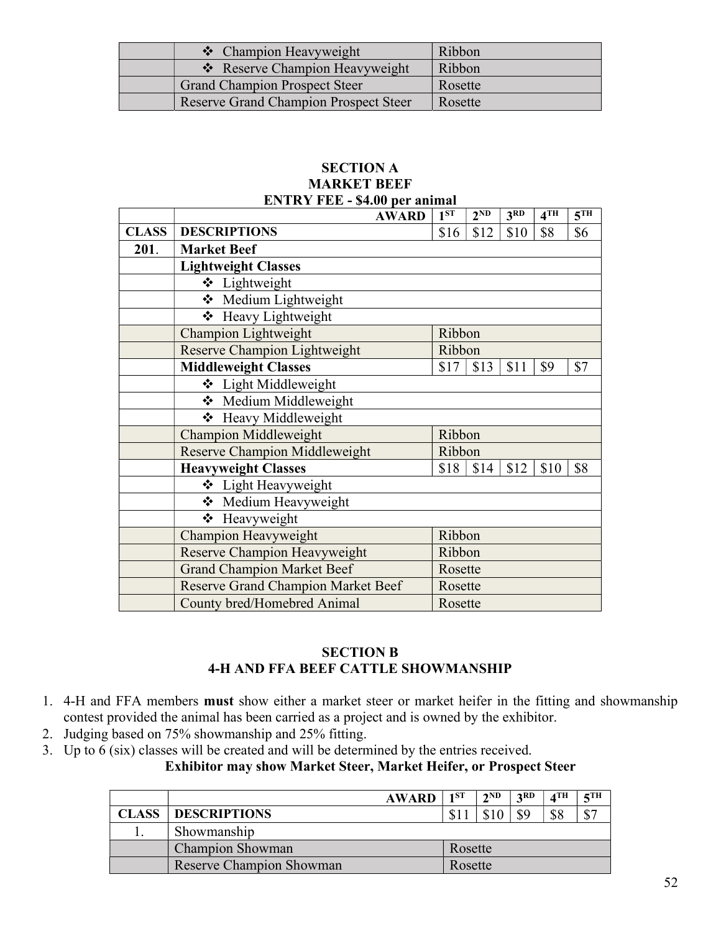| ❖ Champion Heavyweight                       | Ribbon  |
|----------------------------------------------|---------|
| ❖ Reserve Champion Heavyweight               | Ribbon  |
| <b>Grand Champion Prospect Steer</b>         | Rosette |
| <b>Reserve Grand Champion Prospect Steer</b> | Rosette |

#### SECTION A MARKET BEEF ENTRY FEE - \$4.00 per animal

|              | <b>AWARD</b>                              | 1 <sup>ST</sup> | $2^{ND}$ | 3 <sup>RD</sup> | $4$ TH | 5 <sup>TH</sup> |  |  |  |
|--------------|-------------------------------------------|-----------------|----------|-----------------|--------|-----------------|--|--|--|
| <b>CLASS</b> | <b>DESCRIPTIONS</b>                       | \$16            | \$12     | \$10            | \$8    | \$6             |  |  |  |
| 201.         | <b>Market Beef</b>                        |                 |          |                 |        |                 |  |  |  |
|              | <b>Lightweight Classes</b>                |                 |          |                 |        |                 |  |  |  |
|              | ❖ Lightweight                             |                 |          |                 |        |                 |  |  |  |
|              | ❖ Medium Lightweight                      |                 |          |                 |        |                 |  |  |  |
|              | ❖ Heavy Lightweight                       |                 |          |                 |        |                 |  |  |  |
|              | Champion Lightweight                      | Ribbon          |          |                 |        |                 |  |  |  |
|              | Reserve Champion Lightweight<br>Ribbon    |                 |          |                 |        |                 |  |  |  |
|              | <b>Middleweight Classes</b>               | \$17            | \$13     | \$11            | \$9    | \$7             |  |  |  |
|              | ❖ Light Middleweight                      |                 |          |                 |        |                 |  |  |  |
|              | Medium Middleweight                       |                 |          |                 |        |                 |  |  |  |
|              | ❖ Heavy Middleweight                      |                 |          |                 |        |                 |  |  |  |
|              | <b>Champion Middleweight</b>              | Ribbon          |          |                 |        |                 |  |  |  |
|              | Reserve Champion Middleweight             | Ribbon          |          |                 |        |                 |  |  |  |
|              | <b>Heavyweight Classes</b>                | \$18            | \$14     | \$12            | \$10   | \$8             |  |  |  |
|              | ❖ Light Heavyweight                       |                 |          |                 |        |                 |  |  |  |
|              | ❖ Medium Heavyweight                      |                 |          |                 |        |                 |  |  |  |
|              | ❖ Heavyweight                             |                 |          |                 |        |                 |  |  |  |
|              | Champion Heavyweight                      | Ribbon          |          |                 |        |                 |  |  |  |
|              | Reserve Champion Heavyweight              | Ribbon          |          |                 |        |                 |  |  |  |
|              | <b>Grand Champion Market Beef</b>         | Rosette         |          |                 |        |                 |  |  |  |
|              | <b>Reserve Grand Champion Market Beef</b> | Rosette         |          |                 |        |                 |  |  |  |
|              | County bred/Homebred Animal               | Rosette         |          |                 |        |                 |  |  |  |

### SECTION B 4-H AND FFA BEEF CATTLE SHOWMANSHIP

- 1. 4-H and FFA members must show either a market steer or market heifer in the fitting and showmanship contest provided the animal has been carried as a project and is owned by the exhibitor.
- 2. Judging based on 75% showmanship and 25% fitting.
- 3. Up to  $6$  (six) classes will be created and will be determined by the entries received.

# Exhibitor may show Market Steer, Market Heifer, or Prospect Steer

|              |                                 | <b>AWARD</b> | 1ST     | $2^{\rm ND}$ | 2RD | $\boldsymbol{A}$ TH | $5$ TH |
|--------------|---------------------------------|--------------|---------|--------------|-----|---------------------|--------|
| <b>CLASS</b> | <b>DESCRIPTIONS</b>             |              |         |              |     | \$8                 | ሰጣ     |
|              | Showmanship                     |              |         |              |     |                     |        |
|              | <b>Champion Showman</b>         | Rosette      |         |              |     |                     |        |
|              | <b>Reserve Champion Showman</b> |              | Rosette |              |     |                     |        |